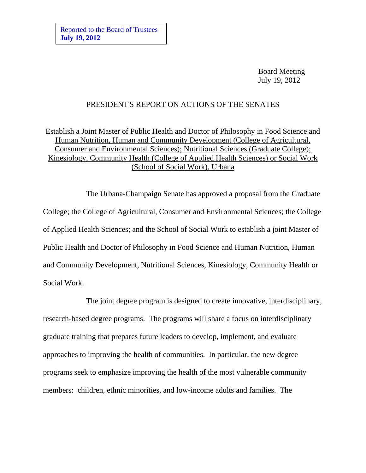Board Meeting July 19, 2012

## PRESIDENT'S REPORT ON ACTIONS OF THE SENATES

Establish a Joint Master of Public Health and Doctor of Philosophy in Food Science and Human Nutrition, Human and Community Development (College of Agricultural, Consumer and Environmental Sciences); Nutritional Sciences (Graduate College); Kinesiology, Community Health (College of Applied Health Sciences) or Social Work (School of Social Work), Urbana

The Urbana-Champaign Senate has approved a proposal from the Graduate College; the College of Agricultural, Consumer and Environmental Sciences; the College of Applied Health Sciences; and the School of Social Work to establish a joint Master of Public Health and Doctor of Philosophy in Food Science and Human Nutrition, Human and Community Development, Nutritional Sciences, Kinesiology, Community Health or Social Work.

The joint degree program is designed to create innovative, interdisciplinary, research-based degree programs. The programs will share a focus on interdisciplinary graduate training that prepares future leaders to develop, implement, and evaluate approaches to improving the health of communities. In particular, the new degree programs seek to emphasize improving the health of the most vulnerable community members: children, ethnic minorities, and low-income adults and families. The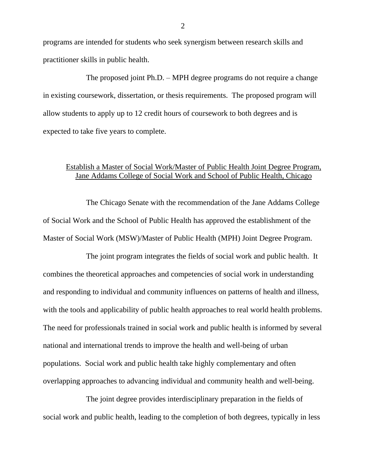programs are intended for students who seek synergism between research skills and practitioner skills in public health.

The proposed joint Ph.D. – MPH degree programs do not require a change in existing coursework, dissertation, or thesis requirements. The proposed program will allow students to apply up to 12 credit hours of coursework to both degrees and is expected to take five years to complete.

## Establish a Master of Social Work/Master of Public Health Joint Degree Program, Jane Addams College of Social Work and School of Public Health, Chicago

The Chicago Senate with the recommendation of the Jane Addams College of Social Work and the School of Public Health has approved the establishment of the Master of Social Work (MSW)/Master of Public Health (MPH) Joint Degree Program.

The joint program integrates the fields of social work and public health. It combines the theoretical approaches and competencies of social work in understanding and responding to individual and community influences on patterns of health and illness, with the tools and applicability of public health approaches to real world health problems. The need for professionals trained in social work and public health is informed by several national and international trends to improve the health and well-being of urban populations. Social work and public health take highly complementary and often overlapping approaches to advancing individual and community health and well-being.

The joint degree provides interdisciplinary preparation in the fields of social work and public health, leading to the completion of both degrees, typically in less

2